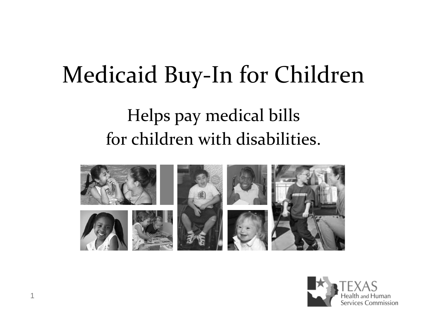### Medicaid Buy‐In for Children

#### Helps pay medical bills for children with disabilities.



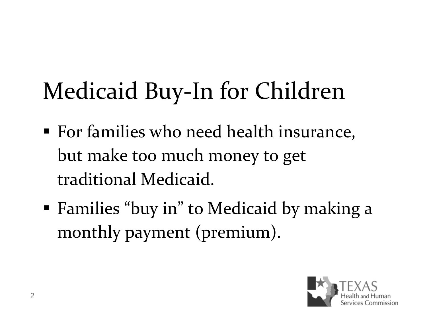## Medicaid Buy‐In for Children

- For families who need health insurance, but make too much money to get traditional Medicaid.
- Families "buy in" to Medicaid by making <sup>a</sup> monthly paymen<sup>t</sup> (premium).

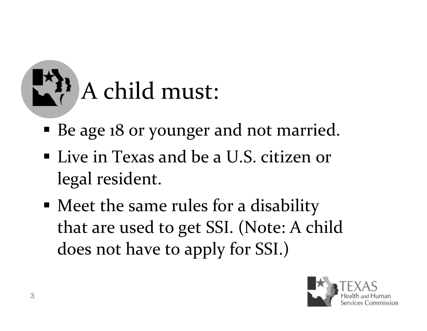

- Be age <sup>18</sup> or younger and not married.
- Live in Texas and be <sup>a</sup> U.S. citizen or legal resident.
- Meet the same rules for <sup>a</sup> disability that are used to ge<sup>t</sup> SSI. (Note: <sup>A</sup> child does not have to apply for SSI.)

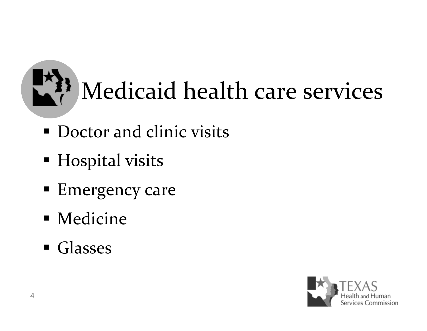# Medicaid health care services

- **Doctor and clinic visits**
- **Hospital visits**
- **Emergency care**
- **Medicine**
- Glasses

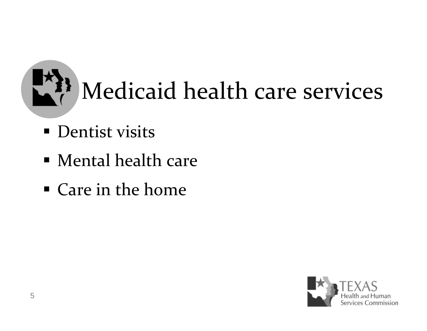

- **Dentist visits**
- Mental health care
- Care in the home

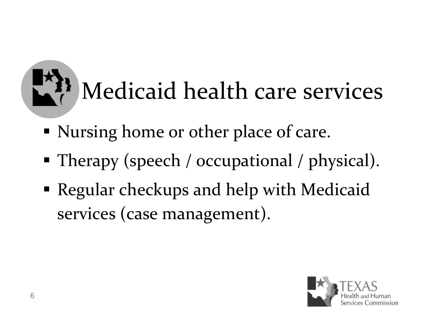# Medicaid health care services

- Nursing home or other place of care.
- **• Therapy (speech / occupational / physical).**
- Regular checkups and help with Medicaid services (case management).

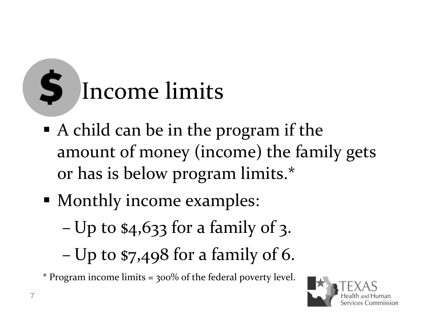### S. Income limits

- A child can be in the program if the amount of money (income) the family gets or has is below program limits.\*
- Monthly income examples:
	- –Up to \$4,633 for <sup>a</sup> family of 3.
	- –Up to \$7,498 for <sup>a</sup> family of 6.

\* Program income limits <sup>=</sup> 300% of the federal poverty level.

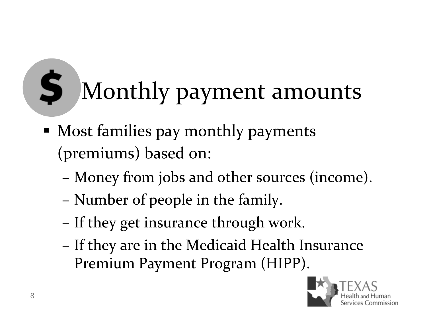#### Š Monthly paymen<sup>t</sup> amounts

- Most families pay monthly payments (premiums) based on:
	- Money from jobs and other sources (income).
	- Number of people in the family.
	- If they get insurance through work.
	- If they are in the Medicaid Health Insurance Premium Payment Program (HIPP).

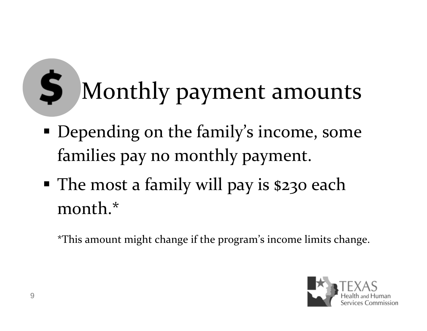#### \$ Monthly paymen<sup>t</sup> amounts

- Depending on the family's income, some families pay no monthly payment.
- The most a family will pay is \$230 each month.\*

\*This amount might change if the program's income limits change.

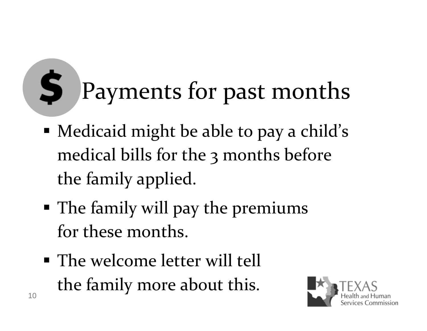#### \$ Payments for pas<sup>t</sup> months

- Medicaid might be able to pay <sup>a</sup> child's medical bills for the 3 months before the family applied.
- The family will pay the premiums for these months.
- The welcome letter will tell the family more about this.

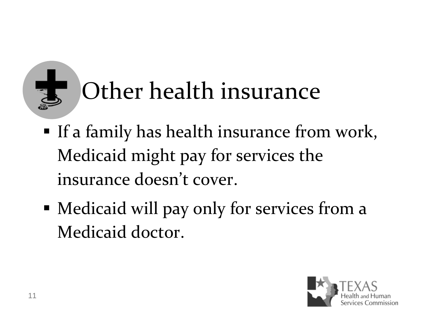# Other health insurance

- **If a family has health insurance from work,** Medicaid might pay for services the insurance doesn't cover.
- Medicaid will pay only for services from <sup>a</sup> Medicaid doctor.

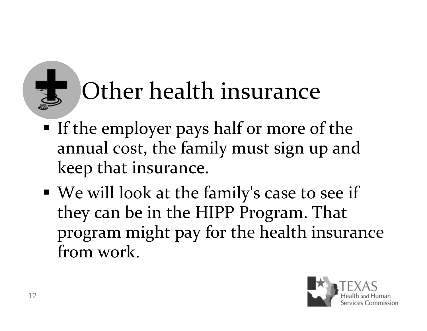## Other health insurance

- If the employer pays half or more of the annual cost, the family must sign up and keep that insurance.
- We will look at the family's case to see if they can be in the HIPP Program. That program might pay for the health insurance from work.

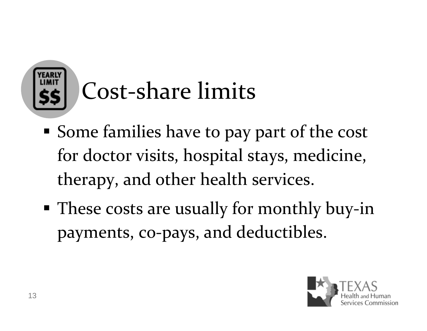

## Cost‐share limits

- Some families have to pay par<sup>t</sup> of the cost for doctor visits, hospital stays, medicine, therapy, and other health services.
- These costs are usually for monthly buy-in payments, co‐pays, and deductibles.

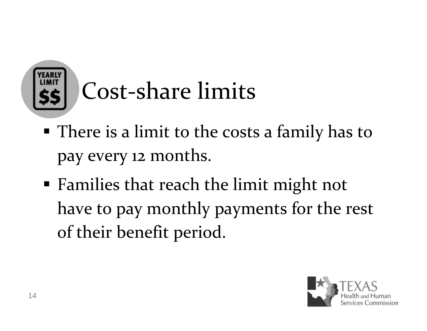

## Cost‐share limits

- There is <sup>a</sup> limit to the costs <sup>a</sup> family has to pay every <sup>12</sup> months.
- Families that reach the limit might not have to pay monthly payments for the rest of their benefit period.

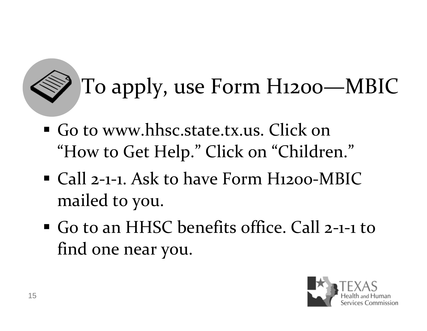## To apply, use Form H1200—MBIC

- Go to www.hhsc.state.tx.us. Click on"How to Get Help." Click on "Children."
- Call 2-1-1. Ask to have Form H1200-MBIC mailed to you.
- Go to an HHSC benefits office. Call 2-1-1 to find one near you.